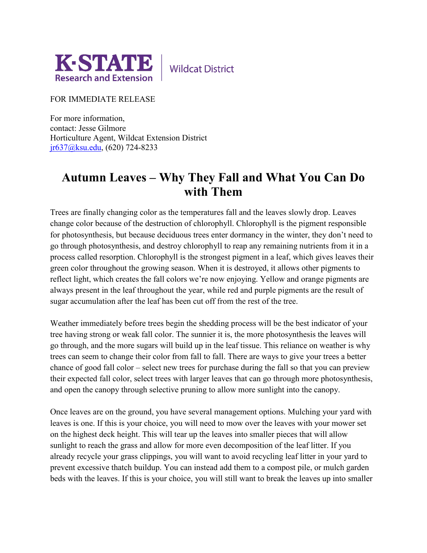

**Wildcat District** 

FOR IMMEDIATE RELEASE

For more information, contact: Jesse Gilmore Horticulture Agent, Wildcat Extension District [jr637@ksu.edu,](mailto:jr637@ksu.edu) (620) 724-8233

## **Autumn Leaves – Why They Fall and What You Can Do with Them**

Trees are finally changing color as the temperatures fall and the leaves slowly drop. Leaves change color because of the destruction of chlorophyll. Chlorophyll is the pigment responsible for photosynthesis, but because deciduous trees enter dormancy in the winter, they don't need to go through photosynthesis, and destroy chlorophyll to reap any remaining nutrients from it in a process called resorption. Chlorophyll is the strongest pigment in a leaf, which gives leaves their green color throughout the growing season. When it is destroyed, it allows other pigments to reflect light, which creates the fall colors we're now enjoying. Yellow and orange pigments are always present in the leaf throughout the year, while red and purple pigments are the result of sugar accumulation after the leaf has been cut off from the rest of the tree.

Weather immediately before trees begin the shedding process will be the best indicator of your tree having strong or weak fall color. The sunnier it is, the more photosynthesis the leaves will go through, and the more sugars will build up in the leaf tissue. This reliance on weather is why trees can seem to change their color from fall to fall. There are ways to give your trees a better chance of good fall color – select new trees for purchase during the fall so that you can preview their expected fall color, select trees with larger leaves that can go through more photosynthesis, and open the canopy through selective pruning to allow more sunlight into the canopy.

Once leaves are on the ground, you have several management options. Mulching your yard with leaves is one. If this is your choice, you will need to mow over the leaves with your mower set on the highest deck height. This will tear up the leaves into smaller pieces that will allow sunlight to reach the grass and allow for more even decomposition of the leaf litter. If you already recycle your grass clippings, you will want to avoid recycling leaf litter in your yard to prevent excessive thatch buildup. You can instead add them to a compost pile, or mulch garden beds with the leaves. If this is your choice, you will still want to break the leaves up into smaller